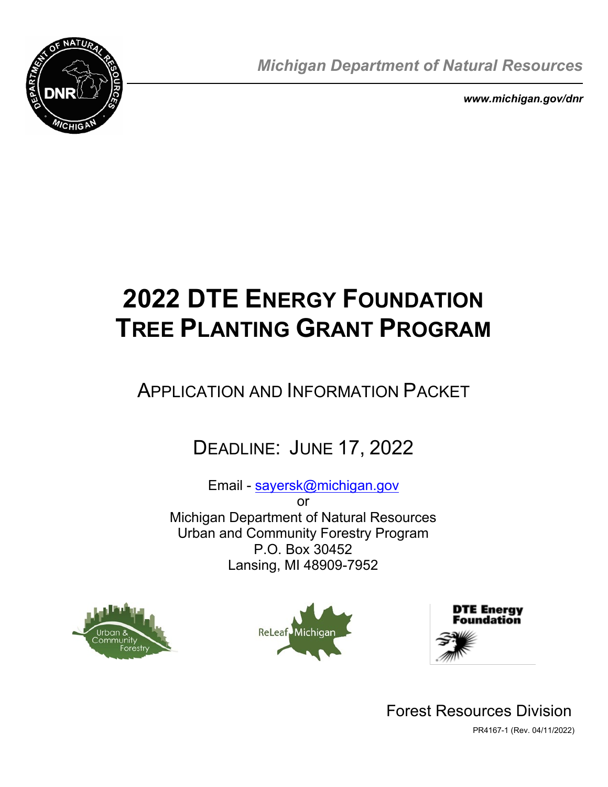

*Michigan Department of Natural Resources* 

*<www.michigan.gov/dnr>* 

# **2022 DTE ENERGY FOUNDATION TREE PLANTING GRANT PROGRAM**

## APPLICATION AND INFORMATION PACKET

## DEADLINE: JUNE 17, 2022

Email - sayersk@m[ichigan.gov](mailto:SayersK@Michigan.gov)

or Michigan Department of Natural Resources Urban and Community Forestry Program P.O. Box 30452 Lansing, MI 48909-7952







Forest Resources Division PR4167-1 (Rev. 04/11/2022)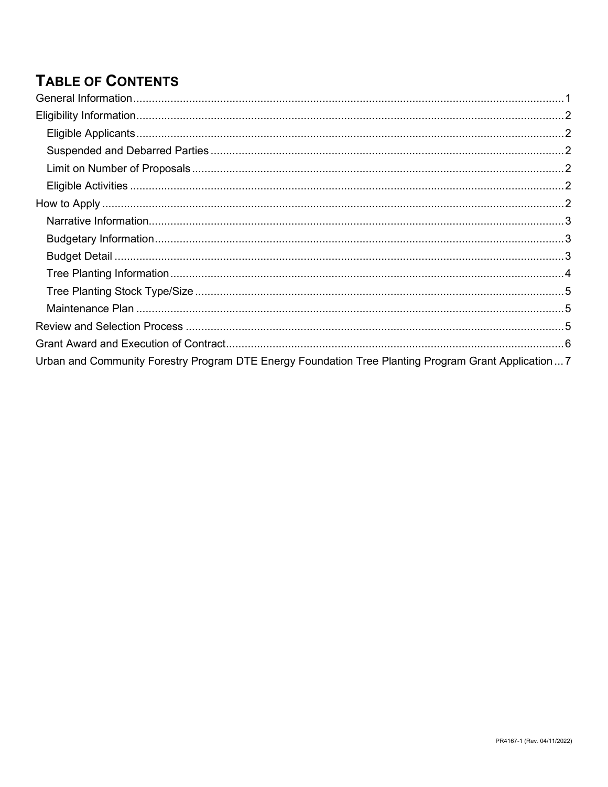## **TABLE OF CONTENTS**

| Urban and Community Forestry Program DTE Energy Foundation Tree Planting Program Grant Application  7 |  |
|-------------------------------------------------------------------------------------------------------|--|
|                                                                                                       |  |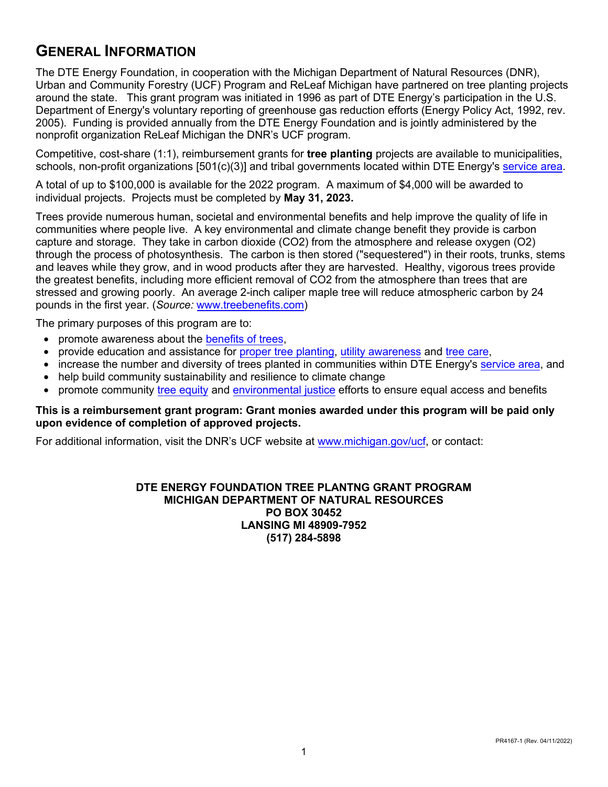## <span id="page-2-0"></span>**GENERAL INFORMATION**

The DTE Energy Foundation, in cooperation with the Michigan Department of Natural Resources (DNR), Urban and Community Forestry (UCF) Program and ReLeaf Michigan have partnered on tree planting projects around the state. This grant program was initiated in 1996 as part of DTE Energy's participation in the U.S. Department of Energy's voluntary reporting of greenhouse gas reduction efforts (Energy Policy Act, 1992, rev. 2005). Funding is provided annually from the DTE Energy Foundation and is jointly administered by the nonprofit organization ReLeaf Michigan the DNR's UCF program.

Competitive, cost-share (1:1), reimbursement grants for **tree planting** projects are available to municipalities, schools, non-profit organizations [501(c)(3)] and tribal governments located within DTE Energy's service area.

A total of up to \$100,000 is available for the 2022 program. A maximum of \$4,000 will be awarded to individual projects. Projects must be completed by **May 31, 2023.** 

 Trees provide numerous human, societal and environmental benefits and help improve the quality of life in communities where people live. A key environmental and climate change benefit they provide is carbon capture and storage. They take in carbon dioxide (CO2) from the atmosphere and release oxygen (O2) through the process of photosynthesis. The carbon is then stored ("sequestered") in their roots, trunks, stems and leaves while they grow, and in wood products after they are harvested. Healthy, vigorous trees provide the greatest benefits, including more efficient removal of CO2 from the atmosphere than trees that are stressed and growing poorly. An average 2-inch caliper maple tree will reduce atmospheric carbon by 24 pounds in the first year. (*Source:* [www.treebenefits.com\)](http://www.treebenefits.com/) 

The primary purposes of this program are to:

- promote awareness about the [benefits](https://www.treesaregood.org/treeowner/benefitsoftrees) of trees,
- provide education and assistance for proper tree [planting,](https://www.treesaregood.org/treeowner/plantingatree) utility [awareness](https://newlook.dteenergy.com/wps/wcm/connect/dte-web/home/service-request/common/system-improvements/tree-trimming%20/?utm_source=vanity%20url&utm_medium=universal&utm_campaign=treemaintenance) and tree [care](https://www.fs.usda.gov/Internet/FSE_DOCUMENTS/stelprdb5368392.pdf),
- increase the number and diversity of trees planted in communities within DTE Energy's [service area](https://www.newlook.dteenergy.com/wps/wcm/connect/dte-web/home/service-request/residential/moving/service-map), and
- help build community sustainability and resilience to climate change
- promote community tree [equity](https://www.americanforests.org/our-programs/tree-equity/) and [environmental](https://www.epa.gov/environmentaljustice) justice efforts to ensure equal access and benefits

#### **This is a reimbursement grant program: Grant monies awarded under this program will be paid only upon evidence of completion of approved projects.**

For additional information, visit the DNR's UCF website at www.michigan[.gov/ucf,](http://www.michigan.gov/ucf) or contact:

#### **DTE ENERGY FOUNDATION TREE PLANTNG GRANT PROGRAM MICHIGAN DEPARTMENT OF NATURAL RESOURCES PO BOX 30452 LANSING MI 48909-7952 (517) 284-5898**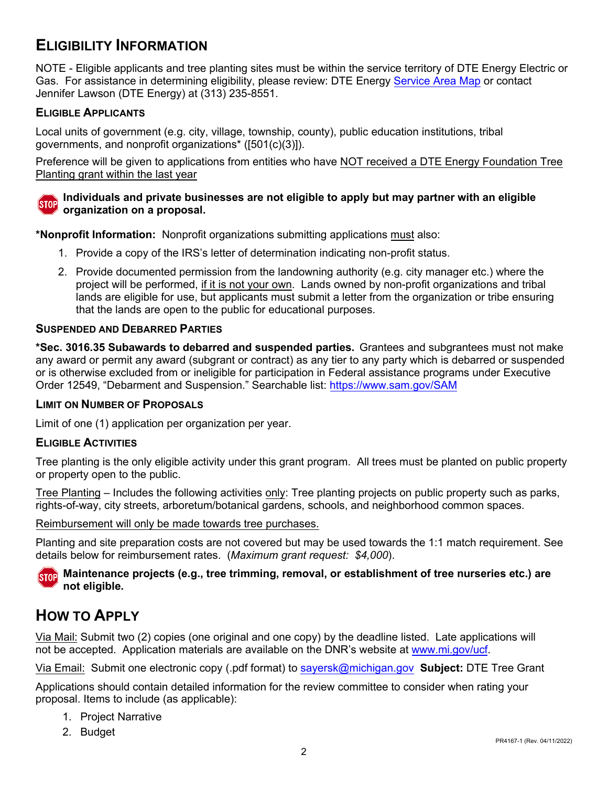## <span id="page-3-0"></span>**ELIGIBILITY INFORMATION**

NOTE - Eligible applicants and tree planting sites must be within the service territory of DTE Energy Electric or Gas. For assistance in determining eligibility, please review: DTE Energy [Service Area Map](https://www.newlook.dteenergy.com/wps/wcm/connect/dte-web/home/service-request/residential/moving/service-map) or contact Jennifer Lawson (DTE Energy) at (313) 235-8551.

#### <span id="page-3-1"></span>**ELIGIBLE APPLICANTS**

Local units of government (e.g. city, village, township, county), public education institutions, tribal governments, and nonprofit organizations\* ([501(c)(3)]).

Preference will be given to applications from entities who have NOT received a DTE Energy Foundation Tree Planting grant within the last year



#### **Individuals and private businesses are not eligible to apply but may partner with an eligible organization on a proposal.**

**\*Nonprofit Information:** Nonprofit organizations submitting applications must also:

- 1. Provide a copy of the IRS's letter of determination indicating non-profit status.
- 2. Provide documented permission from the landowning authority (e.g. city manager etc.) where the project will be performed, if it is not your own. Lands owned by non-profit organizations and tribal lands are eligible for use, but applicants must submit a letter from the organization or tribe ensuring that the lands are open to the public for educational purposes.

#### <span id="page-3-2"></span>**SUSPENDED AND DEBARRED PARTIES**

**\*Sec. 3016.35 Subawards to debarred and suspended parties.** Grantees and subgrantees must not make any award or permit any award (subgrant or contract) as any tier to any party which is debarred or suspended or is otherwise excluded from or ineligible for participation in Federal assistance programs under Executive Order 12549, "Debarment and Suspension." Searchable list:<https://www.sam.gov/SAM>

#### <span id="page-3-3"></span>**LIMIT ON NUMBER OF PROPOSALS**

Limit of one (1) application per organization per year.

#### <span id="page-3-4"></span>**ELIGIBLE ACTIVITIES**

Tree planting is the only eligible activity under this grant program. All trees must be planted on public property or property open to the public.

Tree Planting – Includes the following activities only: Tree planting projects on public property such as parks, rights-of-way, city streets, arboretum/botanical gardens, schools, and neighborhood common spaces.

Reimbursement will only be made towards tree purchases.

Planting and site preparation costs are not covered but may be used towards the 1:1 match requirement. See details below for reimbursement rates. (*Maximum grant request: \$4,000*).

#### **STOP** Maintenance projects (e.g., tree trimming, removal, or establishment of tree nurseries etc.) are **not eligible.**

## <span id="page-3-5"></span>**HOW TO APPLY**

Via Mail: Submit two (2) copies (one original and one copy) by the deadline listed. Late applications will not be accepted. Application materials are available on the DNR's website at [www.mi.gov/ucf](http://www.mi.gov/ucf).

Via Email: Submit one electronic copy (.pdf format) to [sayersk@michigan.gov](mailto:sayersk@michigan.gov) **Subject:** DTE Tree Grant

Applications should contain detailed information for the review committee to consider when rating your proposal. Items to include (as applicable):

- 1. Project Narrative
- 2. Budget PR4167-1 (Rev. 04/11/2022)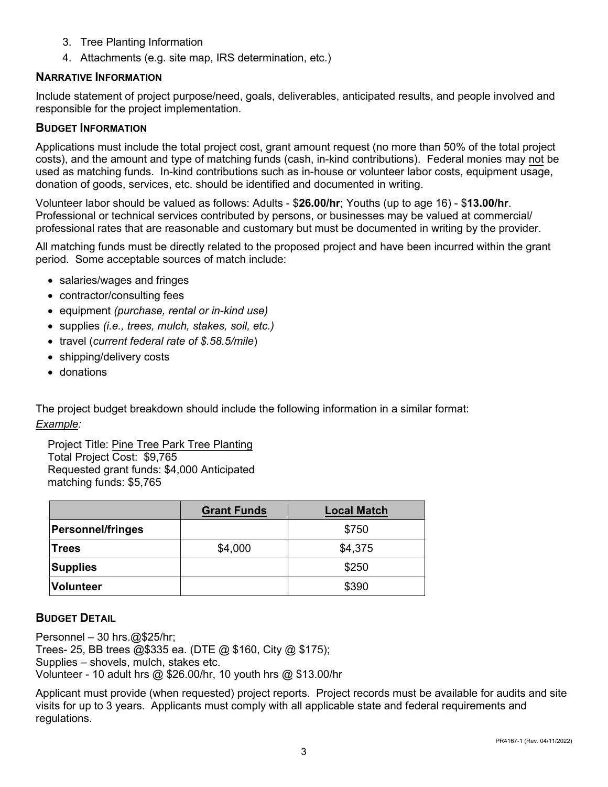- 3. Tree Planting Information
- 4. Attachments (e.g. site map, IRS determination, etc.)

#### <span id="page-4-0"></span>**NARRATIVE INFORMATION**

Include statement of project purpose/need, goals, deliverables, anticipated results, and people involved and responsible for the project implementation.

#### <span id="page-4-1"></span>**BUDGET INFORMATION**

 Applications must include the total project cost, grant amount request (no more than 50% of the total project costs), and the amount and type of matching funds (cash, in-kind contributions). Federal monies may not be used as matching funds. In-kind contributions such as in-house or volunteer labor costs, equipment usage, donation of goods, services, etc. should be identified and documented in writing.

Volunteer labor should be valued as follows: Adults - \$**26.00/hr**; Youths (up to age 16) - \$**13.00/hr**. Professional or technical services contributed by persons, or businesses may be valued at commercial/ professional rates that are reasonable and customary but must be documented in writing by the provider.

All matching funds must be directly related to the proposed project and have been incurred within the grant period. Some acceptable sources of match include:

- salaries/wages and fringes
- contractor/consulting fees
- equipment *(purchase, rental or in-kind use)*
- supplies *(i.e., trees, mulch, stakes, soil, etc.)*
- travel (*current federal rate of \$.58.5/mile*)
- shipping/delivery costs
- donations

The project budget breakdown should include the following information in a similar format: *Example:* 

Project Title: Pine Tree Park Tree Planting Total Project Cost: \$9,765 Requested grant funds: \$4,000 Anticipated matching funds: \$5,765

|                          | <b>Grant Funds</b> | <b>Local Match</b> |
|--------------------------|--------------------|--------------------|
| <b>Personnel/fringes</b> |                    | \$750              |
| <b>Trees</b>             | \$4,000            | \$4,375            |
| <b>Supplies</b>          |                    | \$250              |
| <b>Volunteer</b>         |                    | \$390              |

#### <span id="page-4-2"></span>**BUDGET DETAIL**

Personnel – 30 [hrs.@\\$25/hr;](mailto:hrs.@$25/hr) Trees- 25, BB trees @\$335 ea. (DTE @ \$160, City @ \$175); Supplies – shovels, mulch, stakes etc. Volunteer - 10 adult hrs @ \$26.00/hr, 10 youth hrs @ \$13.00/hr

Applicant must provide (when requested) project reports. Project records must be available for audits and site visits for up to 3 years. Applicants must comply with all applicable state and federal requirements and regulations.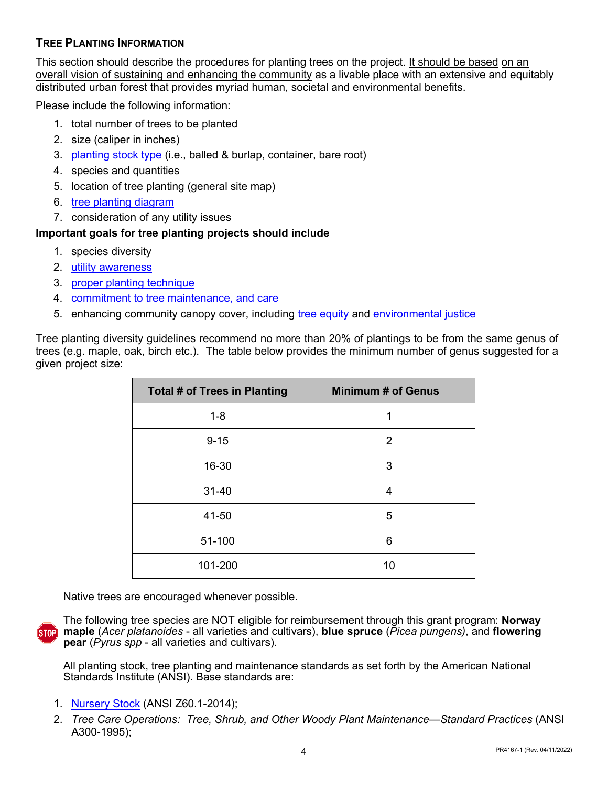#### <span id="page-5-0"></span>**TREE PLANTING INFORMATION**

This section should describe the procedures for planting trees on the project. It should be based on an overall vision of sustaining and enhancing the community as a livable place with an extensive and equitably distributed urban forest that provides myriad human, societal and environmental benefits.

Please include the following information:

- 1. total number of trees to be planted
- 2. size (caliper in inches)
- 3. [planting stock type](https://www.arborday.org/trees/planting/) (i.e., balled & burlap, container, bare root)
- 4. species and quantities
- 5. location of tree planting (general site map)
- 6. [tree planting diagram](https://wwv.isa-arbor.com/education/onlineresources/cadplanningspecifications)
- 7. consideration of any utility issues

#### **Important goals for tree planting projects should include**

- 1. species diversity
- 2. utilit[y awareness](https://newlook.dteenergy.com/wps/wcm/connect/dte-web/home/service-request/common/system-improvements/tree-trimming%20/?utm_source=vanity%20url&utm_medium=universal&utm_campaign=treemaintenance)
- 3. [proper planting technique](https://www.treesaregood.org/treeowner/plantingatree)
- 4. [commitment to tree maintenance, and care](https://www.fs.usda.gov/naspf/publications/tree-owners-manual-national-edition)
- 5. enhancing community canopy cover, including [tree equity](https://treeequityscore.org/map/#6.41/43.367/-84.358) and [environmental justice](https://www.michigan.gov/environmentaljustice/0,9615,7-400-104480---,00.html)

Tree planting diversity guidelines recommend no more than 20% of plantings to be from the same genus of trees (e.g. maple, oak, birch etc.). The table below provides the minimum number of genus suggested for a given project size:

| <b>Total # of Trees in Planting</b> | <b>Minimum # of Genus</b> |
|-------------------------------------|---------------------------|
| $1 - 8$                             | 1                         |
| $9 - 15$                            | 2                         |
| 16-30                               | 3                         |
| $31 - 40$                           | 4                         |
| 41-50                               | 5                         |
| 51-100                              | 6                         |
| 101-200                             | 10                        |

Native trees are encouraged whenever possible.



 **pear** (*Pyrus spp* - all varieties and cultivars). The following tree species are NOT eligible for reimbursement through this grant program: **Norway maple** (*Acer platanoides* - all varieties and cultivars), **blue spruce** (*Picea pungens)*, and **flowering** 

All planting stock, tree planting and maintenance standards as set forth by the American National Standards Institute (ANSI). Base standards are:

- 1. [Nursery Stock](https://cdn.ymaws.com/americanhort.site-ym.com/resource/collection/38ED7535-9C88-45E5-AF44-01C26838AD0C/ANSI_Nursery_Stock_Standards_AmericanHort_2014.pdf) (ANSI Z60.1-2014);
- 2. *Tree Care Operations: Tree, Shrub, and Other Woody Plant Maintenance—Standard Practices* (ANSI A300-1995);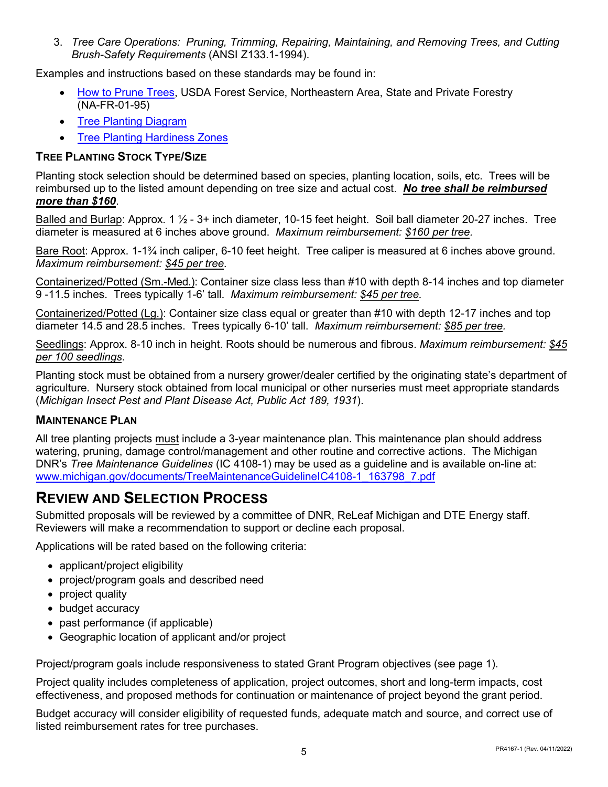3. *Tree Care Operations: Pruning, Trimming, Repairing, Maintaining, and Removing Trees, and Cutting Brush-Safety Requirements* (ANSI Z133.1-1994).

Examples and instructions based on these standards may be found in:

- [How to Prune Trees,](https://www.fs.usda.gov/naspf/publications/how-prune-trees-na-fr-01-95) USDA Forest Service, Northeastern Area, State and Private Forestry (NA-FR-01-95)
- [Tree Planting Diagram](https://wwv.isa-arbor.com/education/onlineresources/cadplanningspecifications)
- **[Tree Planting Hardiness Zones](https://planthardiness.ars.usda.gov/PHZMWeb/)**

#### <span id="page-6-0"></span>**TREE PLANTING STOCK TYPE/SIZE**

Planting stock selection should be determined based on species, planting location, soils, etc. Trees will be reimbursed up to the listed amount depending on tree size and actual cost. *No tree shall be reimbursed more than \$160*.

Balled and Burlap: Approx. 1 ½ - 3+ inch diameter, 10-15 feet height. Soil ball diameter 20-27 inches. Tree diameter is measured at 6 inches above ground. *Maximum reimbursement: \$160 per tree.* 

Bare Root: Approx. 1-1¾ inch caliper, 6-10 feet height. Tree caliper is measured at 6 inches above ground. *Maximum reimbursement: \$45 per tree.* 

Containerized/Potted (Sm.-Med.): Container size class less than #10 with depth 8-14 inches and top diameter 9 -11.5 inches. Trees typically 1-6' tall. *Maximum reimbursement: \$45 per tree.* 

Containerized/Potted (Lg.): Container size class equal or greater than #10 with depth 12-17 inches and top diameter 14.5 and 28.5 inches. Trees typically 6-10' tall. *Maximum reimbursement: \$85 per tree.* 

Seedlings: Approx. 8-10 inch in height. Roots should be numerous and fibrous. *Maximum reimbursement: \$45 per 100 seedlings*.

Planting stock must be obtained from a nursery grower/dealer certified by the originating state's department of agriculture. Nursery stock obtained from local municipal or other nurseries must meet appropriate standards (*Michigan Insect Pest and Plant Disease Act, Public Act 189, 1931*).

#### <span id="page-6-1"></span>**MAINTENANCE PLAN**

All tree planting projects must include a 3-year maintenance plan. This maintenance plan should address watering, pruning, damage control/management and other routine and corrective actions. The Michigan DNR's *Tree Maintenance Guidelines* (IC 4108-1) may be used as a guideline and is available on-line at: w[ww.michigan.gov/documents/TreeMaintenanceGuidelineIC4108-1\\_163798\\_7.pdf](http://www.michigan.gov/documents/TreeMaintenanceGuidelineIC4108-1_163798_7.pdf) 

## <span id="page-6-2"></span>**REVIEW AND SELECTION PROCESS**

Submitted proposals will be reviewed by a committee of DNR, ReLeaf Michigan and DTE Energy staff. Reviewers will make a recommendation to support or decline each proposal.

Applications will be rated based on the following criteria:

- applicant/project eligibility
- project/program goals and described need
- project quality
- budget accuracy
- past performance (if applicable)
- Geographic location of applicant and/or project

Project/program goals include responsiveness to stated Grant Program objectives (see page 1).

Project quality includes completeness of application, project outcomes, short and long-term impacts, cost effectiveness, and proposed methods for continuation or maintenance of project beyond the grant period.

Budget accuracy will consider eligibility of requested funds, adequate match and source, and correct use of listed reimbursement rates for tree purchases.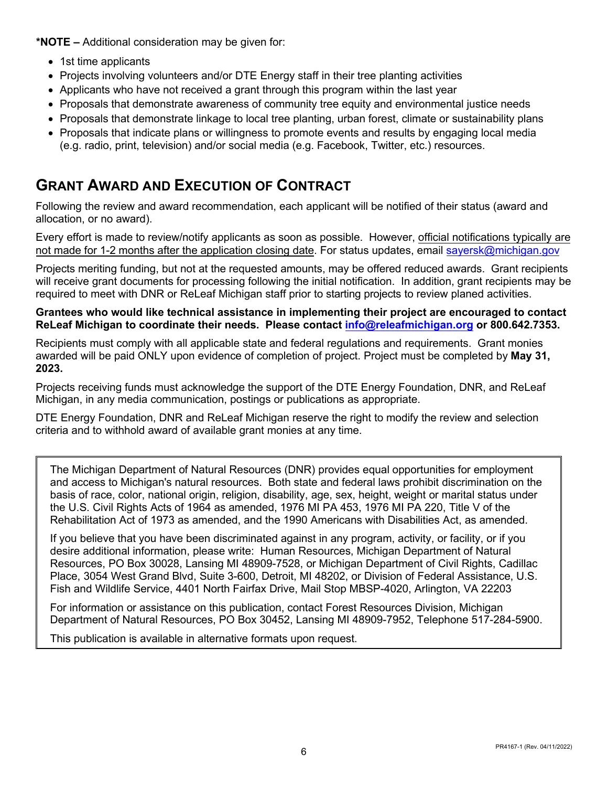**\*NOTE –** Additional consideration may be given for:

- 1st time applicants
- Projects involving volunteers and/or DTE Energy staff in their tree planting activities
- Applicants who have not received a grant through this program within the last year
- Proposals that demonstrate awareness of community tree equity and environmental justice needs
- Proposals that demonstrate linkage to local tree planting, urban forest, climate or sustainability plans
- <span id="page-7-0"></span>• Proposals that indicate plans or willingness to promote events and results by engaging local media (e.g. radio, print, television) and/or social media (e.g. Facebook, Twitter, etc.) resources.

## **GRANT AWARD AND EXECUTION OF CONTRACT**

Following the review and award recommendation, each applicant will be notified of their status (award and allocation, or no award).

Every effort is made to review/notify applicants as soon as possible. However, official notifications typically are not made for 1-2 months after the application closing date. For status updates, email [sayersk@michigan.gov](mailto:SayersK@Michigan.gov)

Projects meriting funding, but not at the requested amounts, may be offered reduced awards. Grant recipients will receive grant documents for processing following the initial notification. In addition, grant recipients may be required to meet with DNR or ReLeaf Michigan staff prior to starting projects to review planed activities.

#### **Grantees who would like technical assistance in implementing their project are encouraged to contact ReLeaf Michigan to coordinate their needs. Please contact info@releafmichigan.org or 800.642.7353.**

Recipients must comply with all applicable state and federal regulations and requirements. Grant monies awarded will be paid ONLY upon evidence of completion of project. Project must be completed by **May 31, 2023.** 

Projects receiving funds must acknowledge the support of the DTE Energy Foundation, DNR, and ReLeaf Michigan, in any media communication, postings or publications as appropriate.

DTE Energy Foundation, DNR and ReLeaf Michigan reserve the right to modify the review and selection criteria and to withhold award of available grant monies at any time.

 the U.S. Civil Rights Acts of 1964 as amended, 1976 MI PA 453, 1976 MI PA 220, Title V of the The Michigan Department of Natural Resources (DNR) provides equal opportunities for employment and access to Michigan's natural resources. Both state and federal laws prohibit discrimination on the basis of race, color, national origin, religion, disability, age, sex, height, weight or marital status under Rehabilitation Act of 1973 as amended, and the 1990 Americans with Disabilities Act, as amended.

 If you believe that you have been discriminated against in any program, activity, or facility, or if you desire additional information, please write: Human Resources, Michigan Department of Natural Resources, PO Box 30028, Lansing MI 48909-7528, or Michigan Department of Civil Rights, Cadillac Place, 3054 West Grand Blvd, Suite 3-600, Detroit, MI 48202, or Division of Federal Assistance, U.S. Fish and Wildlife Service, 4401 North Fairfax Drive, Mail Stop MBSP-4020, Arlington, VA 22203

For information or assistance on this publication, contact Forest Resources Division, Michigan Department of Natural Resources, PO Box 30452, Lansing MI 48909-7952, Telephone 517-284-5900.

This publication is available in alternative formats upon request.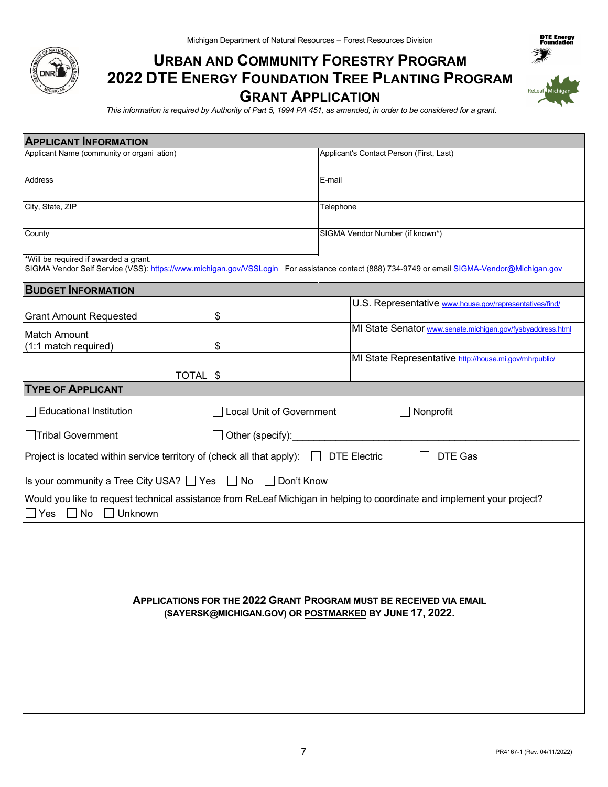

## **URBAN AND COMMUNITY FORESTRY PROGRAM 2022 DTE ENERGY FOUNDATION TREE PLANTING PROGRAM GRANT APPLICATION**



DTE Energy<br>Ecundation

*This information is required by Authority of Part 5, 1994 PA 451, as amended, in order to be considered for a grant.* 

| <b>APPLICANT INFORMATION</b>                                           |                          |                                          |                                                                                                                                             |  |
|------------------------------------------------------------------------|--------------------------|------------------------------------------|---------------------------------------------------------------------------------------------------------------------------------------------|--|
| Applicant Name (community or organi ation)                             |                          | Applicant's Contact Person (First, Last) |                                                                                                                                             |  |
|                                                                        |                          |                                          |                                                                                                                                             |  |
| Address                                                                |                          | E-mail                                   |                                                                                                                                             |  |
| City, State, ZIP                                                       |                          |                                          |                                                                                                                                             |  |
|                                                                        |                          | Telephone                                |                                                                                                                                             |  |
| County                                                                 |                          | SIGMA Vendor Number (if known*)          |                                                                                                                                             |  |
| *Will be required if awarded a grant.                                  |                          |                                          | SIGMA Vendor Self Service (VSS): https://www.michigan.gov/VSSLogin For assistance contact (888) 734-9749 or email SIGMA-Vendor@Michigan.gov |  |
| <b>BUDGET INFORMATION</b>                                              |                          |                                          |                                                                                                                                             |  |
|                                                                        |                          |                                          | U.S. Representative www.house.gov/representatives/find/                                                                                     |  |
| <b>Grant Amount Requested</b>                                          | \$                       |                                          |                                                                                                                                             |  |
| Match Amount                                                           |                          |                                          | MI State Senator www.senate.michigan.gov/fysbyaddress.html                                                                                  |  |
| (1:1 match required)                                                   | \$                       |                                          |                                                                                                                                             |  |
|                                                                        |                          |                                          | MI State Representative http://house.mi.gov/mhrpublic/                                                                                      |  |
| <b>TOTAL  \$</b>                                                       |                          |                                          |                                                                                                                                             |  |
| <b>TYPE OF APPLICANT</b>                                               |                          |                                          |                                                                                                                                             |  |
| <b>Educational Institution</b>                                         | Local Unit of Government |                                          | Nonprofit                                                                                                                                   |  |
| <b>Tribal Government</b>                                               | Other (specify):         |                                          |                                                                                                                                             |  |
| Project is located within service territory of (check all that apply): |                          |                                          | DTE Gas<br><b>DTE Electric</b>                                                                                                              |  |
| Is your community a Tree City USA? □ Yes                               | $\Box$ No<br>Don't Know  |                                          |                                                                                                                                             |  |
| Yes<br>No<br>Unknown<br>$\perp$                                        |                          |                                          | Would you like to request technical assistance from ReLeaf Michigan in helping to coordinate and implement your project?                    |  |
|                                                                        |                          |                                          | <b>APPLICATIONS FOR THE 2022 GRANT PROGRAM MUST BE RECEIVED VIA EMAIL</b><br>(SAYERSK@MICHIGAN.GOV) OR POSTMARKED BY JUNE 17, 2022.         |  |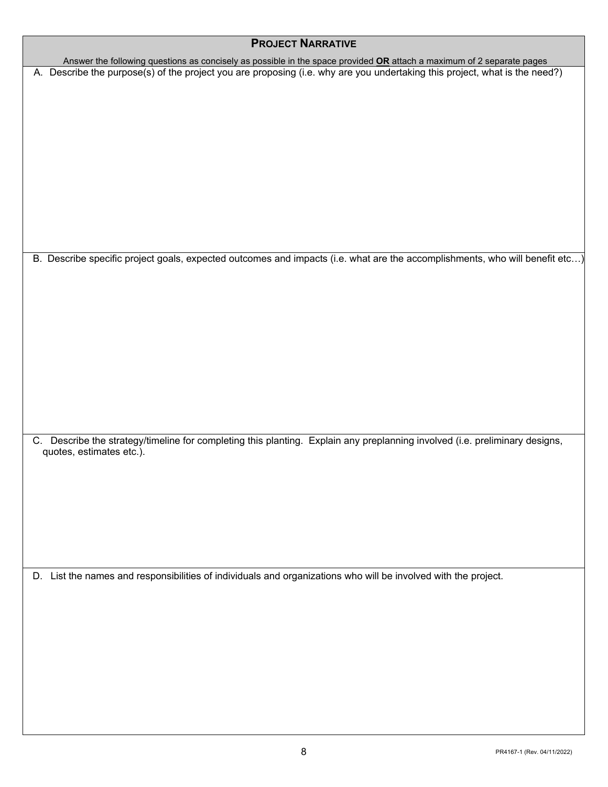| <b>PROJECT NARRATIVE</b>                                                                                                                                |
|---------------------------------------------------------------------------------------------------------------------------------------------------------|
| Answer the following questions as concisely as possible in the space provided OR attach a maximum of 2 separate pages                                   |
| A. Describe the purpose(s) of the project you are proposing (i.e. why are you undertaking this project, what is the need?)                              |
|                                                                                                                                                         |
|                                                                                                                                                         |
|                                                                                                                                                         |
|                                                                                                                                                         |
|                                                                                                                                                         |
|                                                                                                                                                         |
|                                                                                                                                                         |
|                                                                                                                                                         |
|                                                                                                                                                         |
|                                                                                                                                                         |
|                                                                                                                                                         |
|                                                                                                                                                         |
| B. Describe specific project goals, expected outcomes and impacts (i.e. what are the accomplishments, who will benefit etc)                             |
|                                                                                                                                                         |
|                                                                                                                                                         |
|                                                                                                                                                         |
|                                                                                                                                                         |
|                                                                                                                                                         |
|                                                                                                                                                         |
|                                                                                                                                                         |
|                                                                                                                                                         |
|                                                                                                                                                         |
|                                                                                                                                                         |
|                                                                                                                                                         |
| C. Describe the strategy/timeline for completing this planting. Explain any preplanning involved (i.e. preliminary designs,<br>quotes, estimates etc.). |
|                                                                                                                                                         |
|                                                                                                                                                         |
|                                                                                                                                                         |
|                                                                                                                                                         |
|                                                                                                                                                         |
|                                                                                                                                                         |
|                                                                                                                                                         |
|                                                                                                                                                         |
| D. List the names and responsibilities of individuals and organizations who will be involved with the project.                                          |
|                                                                                                                                                         |
|                                                                                                                                                         |
|                                                                                                                                                         |
|                                                                                                                                                         |
|                                                                                                                                                         |
|                                                                                                                                                         |
|                                                                                                                                                         |
|                                                                                                                                                         |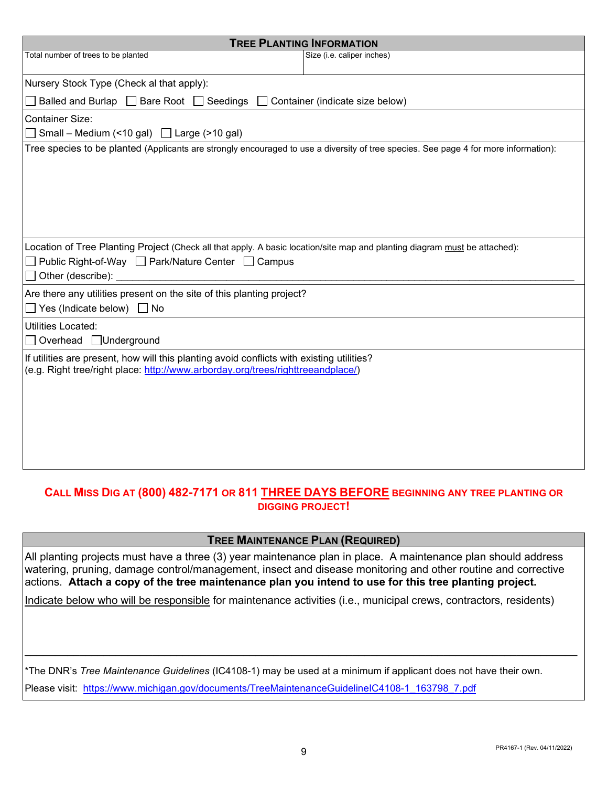| <b>TREE PLANTING INFORMATION</b>                                                                                                                                                                                                                                                                                                                                                                                   |  |
|--------------------------------------------------------------------------------------------------------------------------------------------------------------------------------------------------------------------------------------------------------------------------------------------------------------------------------------------------------------------------------------------------------------------|--|
| Total number of trees to be planted<br>Size (i.e. caliper inches)                                                                                                                                                                                                                                                                                                                                                  |  |
|                                                                                                                                                                                                                                                                                                                                                                                                                    |  |
| Nursery Stock Type (Check al that apply):                                                                                                                                                                                                                                                                                                                                                                          |  |
| Balled and Burlap □ Bare Root □ Seedings □ Container (indicate size below)                                                                                                                                                                                                                                                                                                                                         |  |
| <b>Container Size:</b>                                                                                                                                                                                                                                                                                                                                                                                             |  |
| Small – Medium (<10 gal) $\Box$ Large (>10 gal)                                                                                                                                                                                                                                                                                                                                                                    |  |
| Tree species to be planted (Applicants are strongly encouraged to use a diversity of tree species. See page 4 for more information):                                                                                                                                                                                                                                                                               |  |
| Location of Tree Planting Project (Check all that apply. A basic location/site map and planting diagram must be attached):<br>□ Public Right-of-Way □ Park/Nature Center □ Campus<br>Other (describe): Note and the set of the set of the set of the set of the set of the set of the set of the set of the set of the set of the set of the set of the set of the set of the set of the set of the set of the set |  |
| Are there any utilities present on the site of this planting project?<br>◯ Yes (Indicate below) ◯ No                                                                                                                                                                                                                                                                                                               |  |
| <b>Utilities Located:</b><br>Overhead □Underground                                                                                                                                                                                                                                                                                                                                                                 |  |
| If utilities are present, how will this planting avoid conflicts with existing utilities?<br>(e.g. Right tree/right place: http://www.arborday.org/trees/righttreeandplace/)                                                                                                                                                                                                                                       |  |
|                                                                                                                                                                                                                                                                                                                                                                                                                    |  |

#### **CALL MISS DIG AT (800) 482-7171 OR 811 THREE DAYS BEFORE BEGINNING ANY TREE PLANTING OR DIGGING PROJECT!**

#### **TREE MAINTENANCE PLAN (REQUIRED)**

 actions. **Attach a copy of the tree maintenance plan you intend to use for this tree planting project.** All planting projects must have a three (3) year maintenance plan in place. A maintenance plan should address watering, pruning, damage control/management, insect and disease monitoring and other routine and corrective

Indicate below who will be responsible for maintenance activities (i.e., municipal crews, contractors, residents)

\*The DNR's *Tree Maintenance Guidelines* (IC4108-1) may be used at a minimum if applicant does not have their own. Please visit: [https://www.michigan.gov/documents/TreeMaintenanceGuidelineIC4108-1\\_163798\\_7.pdf](https://www.michigan.gov/documents/TreeMaintenanceGuidelineIC4108-1_163798_7.pdf)

 $\_$  , and the set of the set of the set of the set of the set of the set of the set of the set of the set of the set of the set of the set of the set of the set of the set of the set of the set of the set of the set of th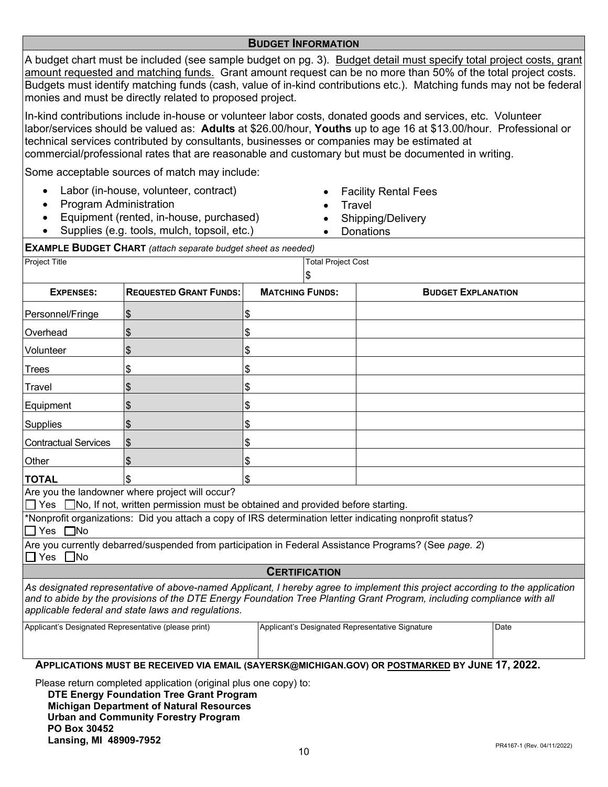#### **BUDGET INFORMATION**

A budget chart must be included (see sample budget on pg. 3). Budget detail must specify total project costs, grant amount requested and matching funds. Grant amount request can be no more than 50% of the total project costs. Budgets must identify matching funds (cash, value of in-kind contributions etc.). Matching funds may not be federal monies and must be directly related to proposed project.

In-kind contributions include in-house or volunteer labor costs, donated goods and services, etc. Volunteer labor/services should be valued as: **Adults** at \$26.00/hour, **Youths** up to age 16 at \$13.00/hour. Professional or technical services contributed by consultants, businesses or companies may be estimated at commercial/professional rates that are reasonable and customary but must be documented in writing.

Some acceptable sources of match may include:

- Labor (in-house, volunteer, contract)
- Program Administration
- Equipment (rented, in-house, purchased)
- Supplies (e.g. tools, mulch, topsoil, etc.)
- Facility Rental Fees
- **Travel**
- Shipping/Delivery
- Donations

 **EXAMPLE BUDGET CHART** *(attach separate budget sheet as needed)*

| <b>Project Title</b>                                 |                                                                                                                                         | <b>Total Project Cost</b><br>S                  |                                                                                                                                                                                                                                                        |      |
|------------------------------------------------------|-----------------------------------------------------------------------------------------------------------------------------------------|-------------------------------------------------|--------------------------------------------------------------------------------------------------------------------------------------------------------------------------------------------------------------------------------------------------------|------|
| <b>EXPENSES:</b>                                     | <b>REQUESTED GRANT FUNDS:</b>                                                                                                           | <b>MATCHING FUNDS:</b>                          | <b>BUDGET EXPLANATION</b>                                                                                                                                                                                                                              |      |
| Personnel/Fringe                                     | \$                                                                                                                                      | \$                                              |                                                                                                                                                                                                                                                        |      |
| Overhead                                             | \$                                                                                                                                      | \$                                              |                                                                                                                                                                                                                                                        |      |
| Volunteer                                            | \$                                                                                                                                      | \$                                              |                                                                                                                                                                                                                                                        |      |
| <b>Trees</b>                                         | \$                                                                                                                                      | \$                                              |                                                                                                                                                                                                                                                        |      |
| Travel                                               | \$                                                                                                                                      | \$                                              |                                                                                                                                                                                                                                                        |      |
| Equipment                                            | \$                                                                                                                                      | \$                                              |                                                                                                                                                                                                                                                        |      |
| <b>Supplies</b>                                      | \$                                                                                                                                      | \$                                              |                                                                                                                                                                                                                                                        |      |
| <b>Contractual Services</b>                          | \$                                                                                                                                      |                                                 |                                                                                                                                                                                                                                                        |      |
| Other                                                | \$                                                                                                                                      | \$                                              |                                                                                                                                                                                                                                                        |      |
| <b>TOTAL</b>                                         |                                                                                                                                         | \$                                              |                                                                                                                                                                                                                                                        |      |
| $\Box$ Yes                                           | Are you the landowner where project will occur?<br>$\Box$ No, If not, written permission must be obtained and provided before starting. |                                                 |                                                                                                                                                                                                                                                        |      |
| $\Box$ Yes $\Box$ No                                 | *Nonprofit organizations: Did you attach a copy of IRS determination letter indicating nonprofit status?                                |                                                 |                                                                                                                                                                                                                                                        |      |
| $\Box$ Yes<br>$\Box$ No                              |                                                                                                                                         |                                                 | Are you currently debarred/suspended from participation in Federal Assistance Programs? (See page. 2)                                                                                                                                                  |      |
|                                                      |                                                                                                                                         | <b>CERTIFICATION</b>                            |                                                                                                                                                                                                                                                        |      |
|                                                      | applicable federal and state laws and regulations.                                                                                      |                                                 | As designated representative of above-named Applicant, I hereby agree to implement this project according to the application<br>and to abide by the provisions of the DTE Energy Foundation Tree Planting Grant Program, including compliance with all |      |
| Applicant's Designated Representative (please print) |                                                                                                                                         | Applicant's Designated Representative Signature |                                                                                                                                                                                                                                                        | Date |
|                                                      |                                                                                                                                         |                                                 | <b>APPLICATIONS MUST BE RECEIVED VIA EMAIL (SAYERSK@MICHIGAN.GOV) OR POSTMARKED BY JUNE 17, 2022.</b>                                                                                                                                                  |      |

Please return completed application (original plus one copy) to:

**DTE Energy Foundation Tree Grant Program Michigan Department of Natural Resources Urban and Community Forestry Program PO Box 30452 Lansing, MI 48909-7952** PR4167-1 (Rev. 04/11/2022)